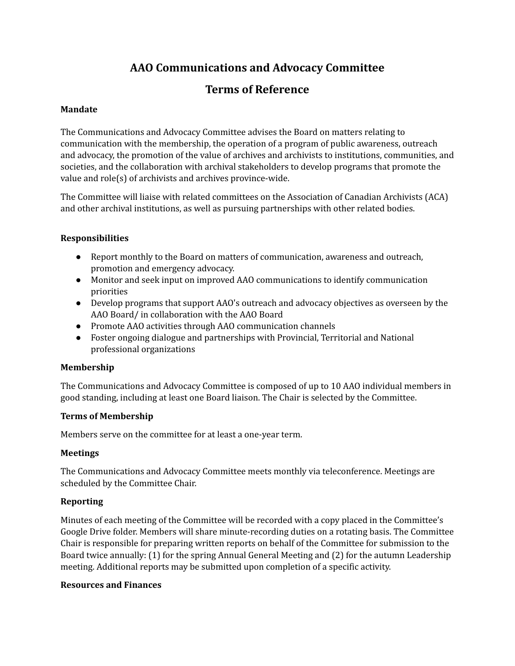# **AAO Communications and Advocacy Committee**

# **Terms of Reference**

## **Mandate**

The Communications and Advocacy Committee advises the Board on matters relating to communication with the membership, the operation of a program of public awareness, outreach and advocacy, the promotion of the value of archives and archivists to institutions, communities, and societies, and the collaboration with archival stakeholders to develop programs that promote the value and role(s) of archivists and archives province-wide.

The Committee will liaise with related committees on the Association of Canadian Archivists (ACA) and other archival institutions, as well as pursuing partnerships with other related bodies.

## **Responsibilities**

- Report monthly to the Board on matters of communication, awareness and outreach, promotion and emergency advocacy.
- Monitor and seek input on improved AAO communications to identify communication priorities
- Develop programs that support AAO's outreach and advocacy objectives as overseen by the AAO Board/ in collaboration with the AAO Board
- Promote AAO activities through AAO communication channels
- Foster ongoing dialogue and partnerships with Provincial, Territorial and National professional organizations

# **Membership**

The Communications and Advocacy Committee is composed of up to 10 AAO individual members in good standing, including at least one Board liaison. The Chair is selected by the Committee.

# **Terms of Membership**

Members serve on the committee for at least a one-year term.

### **Meetings**

The Communications and Advocacy Committee meets monthly via teleconference. Meetings are scheduled by the Committee Chair.

### **Reporting**

Minutes of each meeting of the Committee will be recorded with a copy placed in the Committee's Google Drive folder. Members will share minute-recording duties on a rotating basis. The Committee Chair is responsible for preparing written reports on behalf of the Committee for submission to the Board twice annually: (1) for the spring Annual General Meeting and (2) for the autumn Leadership meeting. Additional reports may be submitted upon completion of a specific activity.

### **Resources and Finances**